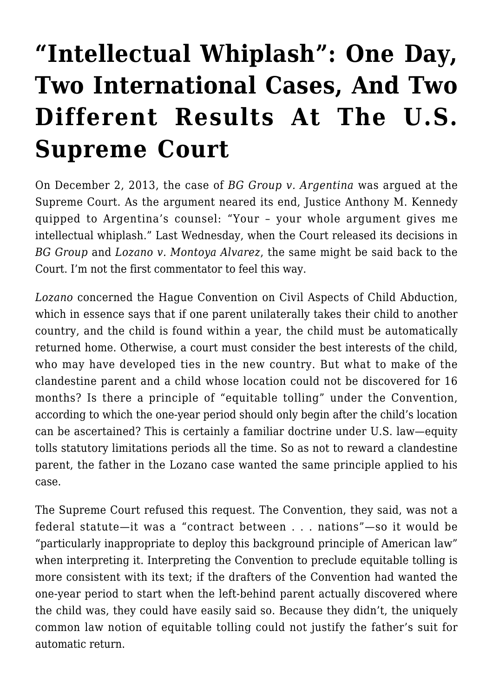## **["Intellectual Whiplash": One Day,](https://conflictoflaws.net/2014/intellectual-whiplash-one-day-two-international-cases-and-two-different-results-at-the-u-s-supreme-court/) [Two International Cases, And Two](https://conflictoflaws.net/2014/intellectual-whiplash-one-day-two-international-cases-and-two-different-results-at-the-u-s-supreme-court/) [Different Results At The U.S.](https://conflictoflaws.net/2014/intellectual-whiplash-one-day-two-international-cases-and-two-different-results-at-the-u-s-supreme-court/) [Supreme Court](https://conflictoflaws.net/2014/intellectual-whiplash-one-day-two-international-cases-and-two-different-results-at-the-u-s-supreme-court/)**

On December 2, 2013, the case of *BG Group v. Argentina* was [argued a](http://www.supremecourt.gov/oral_arguments/argument_transcripts/12-138_c18e.pdf)t the Supreme Court. As the argument neared its end, Justice Anthony M. Kennedy quipped to Argentina's counsel: "Your – your whole argument gives me intellectual whiplash." Last Wednesday, when the Court released its decisions in *BG Group* and *Lozano v. Montoya Alvarez*, the same might be said back to the Court. [I'm not the first commentator to feel this way](http://www.bloombergview.com/articles/2014-03-05/supreme-court-has-an-eminem-moment).

*Lozano* concerned the Hague Convention on Civil Aspects of Child Abduction, which in essence says that if one parent unilaterally takes their child to another country, and the child is found within a year, the child must be automatically returned home. Otherwise, a court must consider the best interests of the child, who may have developed ties in the new country. But what to make of the clandestine parent and a child whose location could not be discovered for 16 months? Is there a principle of "equitable tolling" under the Convention, according to which the one-year period should only begin after the child's location can be ascertained? This is certainly a familiar doctrine under U.S. law—equity tolls statutory limitations periods all the time. So as not to reward a clandestine parent, the father in the Lozano case wanted the same principle applied to his case.

[The Supreme Court refused this request](http://www.bloomberglaw.com/public/document/Lozano_v_Alvarez_No_12820_2014_BL_59831_US_Mar_05_2014_Court_Opin). The Convention, they said, was not a federal statute—it was a "contract between . . . nations"—so it would be "particularly inappropriate to deploy this background principle of American law" when interpreting it. Interpreting the Convention to preclude equitable tolling is more consistent with its text; if the drafters of the Convention had wanted the one-year period to start when the left-behind parent actually discovered where the child was, they could have easily said so. Because they didn't, the uniquely common law notion of equitable tolling could not justify the father's suit for automatic return.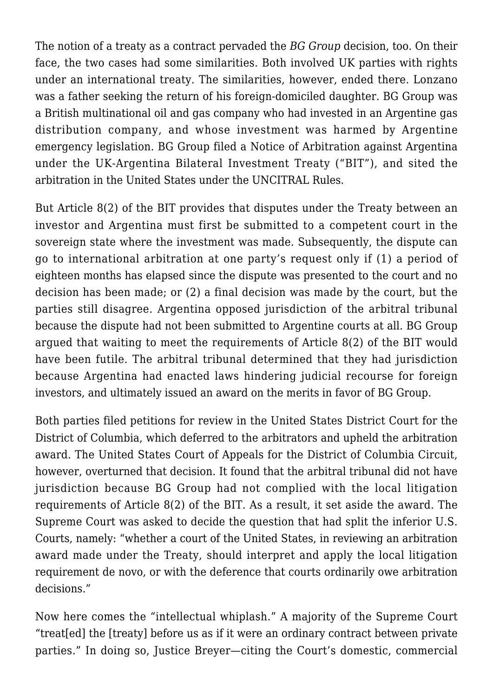The notion of a treaty as a contract pervaded the *BG Group* decision, too. On their face, the two cases had some similarities. Both involved UK parties with rights under an international treaty. The similarities, however, ended there. Lonzano was a father seeking the return of his foreign-domiciled daughter. BG Group was a British multinational oil and gas company who had invested in an Argentine gas distribution company, and whose investment was harmed by Argentine emergency legislation. BG Group filed a Notice of Arbitration against Argentina under the UK-Argentina Bilateral Investment Treaty ("BIT"), and sited the arbitration in the United States under the UNCITRAL Rules.

But Article 8(2) of the BIT provides that disputes under the Treaty between an investor and Argentina must first be submitted to a competent court in the sovereign state where the investment was made. Subsequently, the dispute can go to international arbitration at one party's request only if (1) a period of eighteen months has elapsed since the dispute was presented to the court and no decision has been made; or (2) a final decision was made by the court, but the parties still disagree. Argentina opposed jurisdiction of the arbitral tribunal because the dispute had not been submitted to Argentine courts at all. BG Group argued that waiting to meet the requirements of Article 8(2) of the BIT would have been futile. The arbitral tribunal determined that they had jurisdiction because Argentina had enacted laws hindering judicial recourse for foreign investors, and ultimately issued an award on the merits in favor of BG Group.

Both parties filed petitions for review in the United States District Court for the District of Columbia, which deferred to the arbitrators and upheld the arbitration award. The United States Court of Appeals for the District of Columbia Circuit, however, overturned that decision. It found that the arbitral tribunal did not have jurisdiction because BG Group had not complied with the local litigation requirements of Article 8(2) of the BIT. As a result, it set aside the award. The Supreme Court was asked to decide the question that had split the inferior U.S. Courts, namely: "whether a court of the United States, in reviewing an arbitration award made under the Treaty, should interpret and apply the local litigation requirement de novo, or with the deference that courts ordinarily owe arbitration decisions."

Now here comes the "intellectual whiplash." [A majority of the Supreme Court](http://www.bloomberglaw.com/public/document/BG_Grp_plc_v_Republic_of_Argentina_No_12138_US_Mar_05_2014_Court_) "treat[ed] the [treaty] before us as if it were an ordinary contract between private parties." In doing so, Justice Breyer—citing the Court's domestic, commercial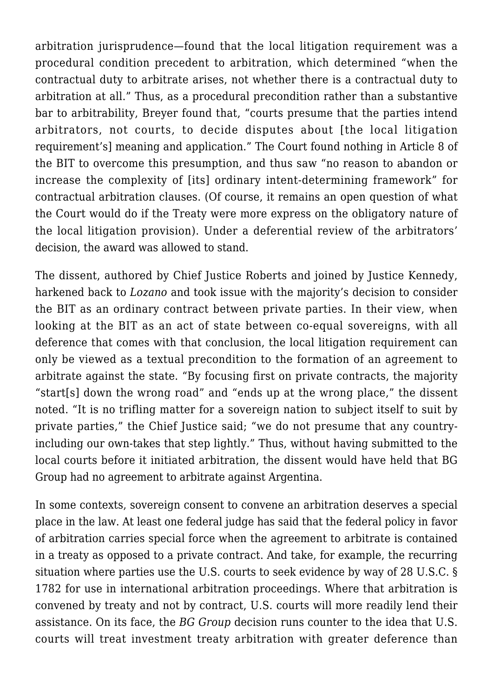arbitration jurisprudence—found that the local litigation requirement was a procedural condition precedent to arbitration, which determined "when the contractual duty to arbitrate arises, not whether there is a contractual duty to arbitration at all." Thus, as a procedural precondition rather than a substantive bar to arbitrability, Breyer found that, "courts presume that the parties intend arbitrators, not courts, to decide disputes about [the local litigation requirement's] meaning and application." The Court found nothing in Article 8 of the BIT to overcome this presumption, and thus saw "no reason to abandon or increase the complexity of [its] ordinary intent-determining framework" for contractual arbitration clauses. (Of course, [it remains an open question](http://www.scotusblog.com/2014/03/opinion-analysis-clear-statement-ruling-in-investor-state-arbitration-case-leaves-open-question-on-u-s-bilateral-treaties/) of what the Court would do if the Treaty were more express on the obligatory nature of the local litigation provision). Under a deferential review of the arbitrators' decision, the award was allowed to stand.

The dissent, authored by Chief Justice Roberts and joined by Justice Kennedy, harkened back to *Lozano* and took issue with the majority's decision to consider the BIT as an ordinary contract between private parties. In their view, when looking at the BIT as an act of state between co-equal sovereigns, with all deference that comes with that conclusion, the local litigation requirement can only be viewed as a textual precondition to the formation of an agreement to arbitrate against the state. "By focusing first on private contracts, the majority "start[s] down the wrong road" and "ends up at the wrong place," the dissent noted. "It is no trifling matter for a sovereign nation to subject itself to suit by private parties," the Chief Justice said; "we do not presume that any countryincluding our own-takes that step lightly." Thus, without having submitted to the local courts before it initiated arbitration, the dissent would have held that BG Group had no agreement to arbitrate against Argentina.

In some contexts, sovereign consent to convene an arbitration deserves a special place in the law. At least one federal judge has said that the federal policy in favor of arbitration carries special force when the agreement to arbitrate is contained in a treaty as opposed to a private contract. And take, for example, the recurring situation where parties use the U.S. courts to seek evidence by way of 28 U.S.C. § 1782 for use in international arbitration proceedings. Where that arbitration is convened by treaty and not by contract, U.S. courts will more readily lend their assistance. On its face, the *BG Group* decision runs counter to the idea that U.S. courts will treat investment treaty arbitration with greater deference than